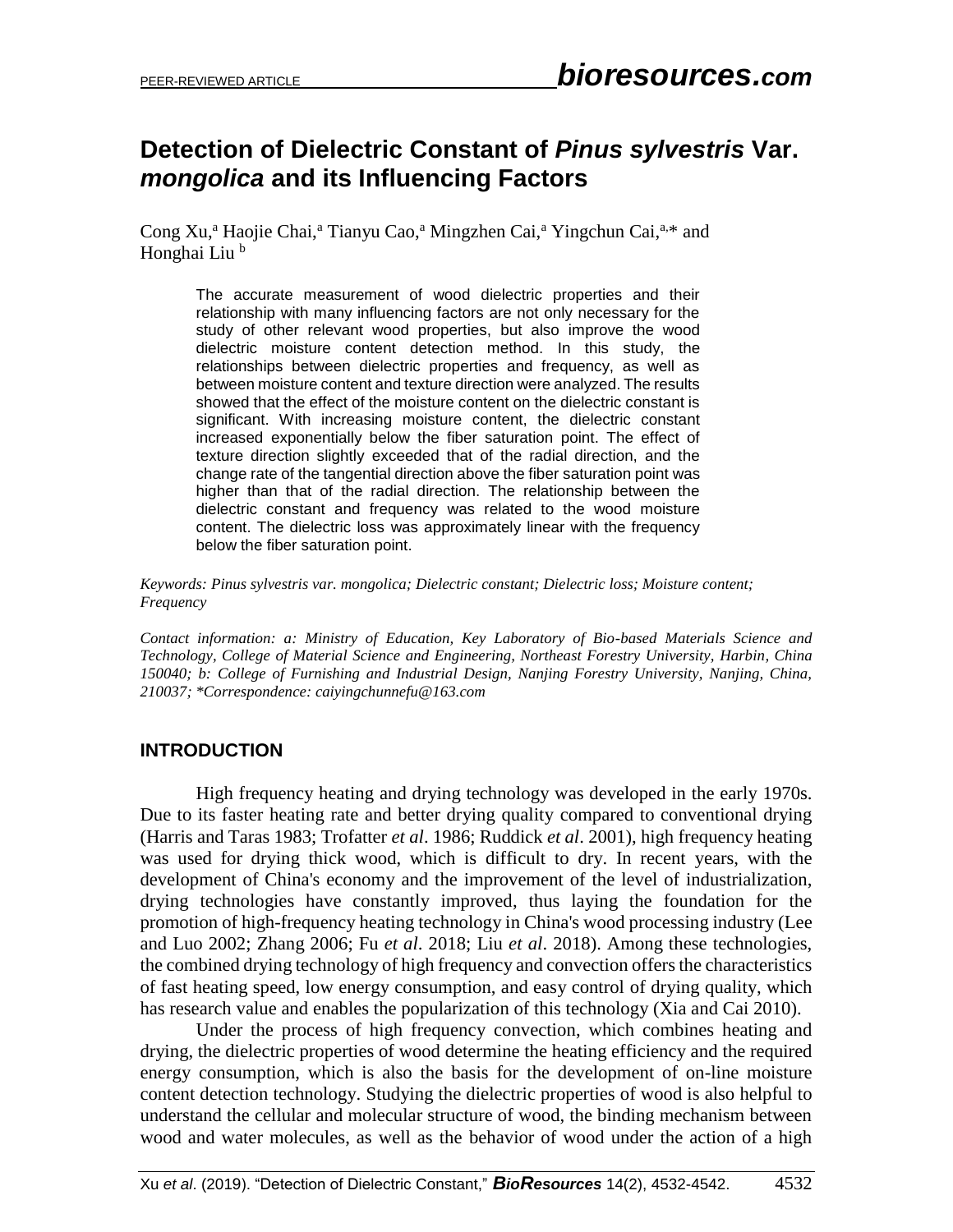# **Detection of Dielectric Constant of** *Pinus sylvestris* **Var.**  *mongolica* **and its Influencing Factors**

Cong Xu,<sup>a</sup> Haojie Chai,<sup>a</sup> Tianyu Cao,<sup>a</sup> Mingzhen Cai,<sup>a</sup> Yingchun Cai,<sup>a,\*</sup> and Honghai Liu<sup>b</sup>

The accurate measurement of wood dielectric properties and their relationship with many influencing factors are not only necessary for the study of other relevant wood properties, but also improve the wood dielectric moisture content detection method. In this study, the relationships between dielectric properties and frequency, as well as between moisture content and texture direction were analyzed. The results showed that the effect of the moisture content on the dielectric constant is significant. With increasing moisture content, the dielectric constant increased exponentially below the fiber saturation point. The effect of texture direction slightly exceeded that of the radial direction, and the change rate of the tangential direction above the fiber saturation point was higher than that of the radial direction. The relationship between the dielectric constant and frequency was related to the wood moisture content. The dielectric loss was approximately linear with the frequency below the fiber saturation point.

*Keywords: Pinus sylvestris var. mongolica; Dielectric constant; Dielectric loss; Moisture content; Frequency*

*Contact information: a: Ministry of Education, Key Laboratory of Bio-based Materials Science and Technology, College of Material Science and Engineering, Northeast Forestry University, Harbin, China 150040; b: College of Furnishing and Industrial Design, Nanjing Forestry University, Nanjing, China, 210037; \*Correspondence: caiyingchunnefu@163.com*

## **INTRODUCTION**

High frequency heating and drying technology was developed in the early 1970s. Due to its faster heating rate and better drying quality compared to conventional drying (Harris and Taras 1983; Trofatter *et al*. 1986; Ruddick *et al*. 2001), high frequency heating was used for drying thick wood, which is difficult to dry. In recent years, with the development of China's economy and the improvement of the level of industrialization, drying technologies have constantly improved, thus laying the foundation for the promotion of high-frequency heating technology in China's wood processing industry (Lee and Luo 2002; Zhang 2006; Fu *et al*. 2018; Liu *et al*. 2018). Among these technologies, the combined drying technology of high frequency and convection offers the characteristics of fast heating speed, low energy consumption, and easy control of drying quality, which has research value and enables the popularization of this technology (Xia and Cai 2010).

Under the process of high frequency convection, which combines heating and drying, the dielectric properties of wood determine the heating efficiency and the required energy consumption, which is also the basis for the development of on-line moisture content detection technology. Studying the dielectric properties of wood is also helpful to understand the cellular and molecular structure of wood, the binding mechanism between wood and water molecules, as well as the behavior of wood under the action of a high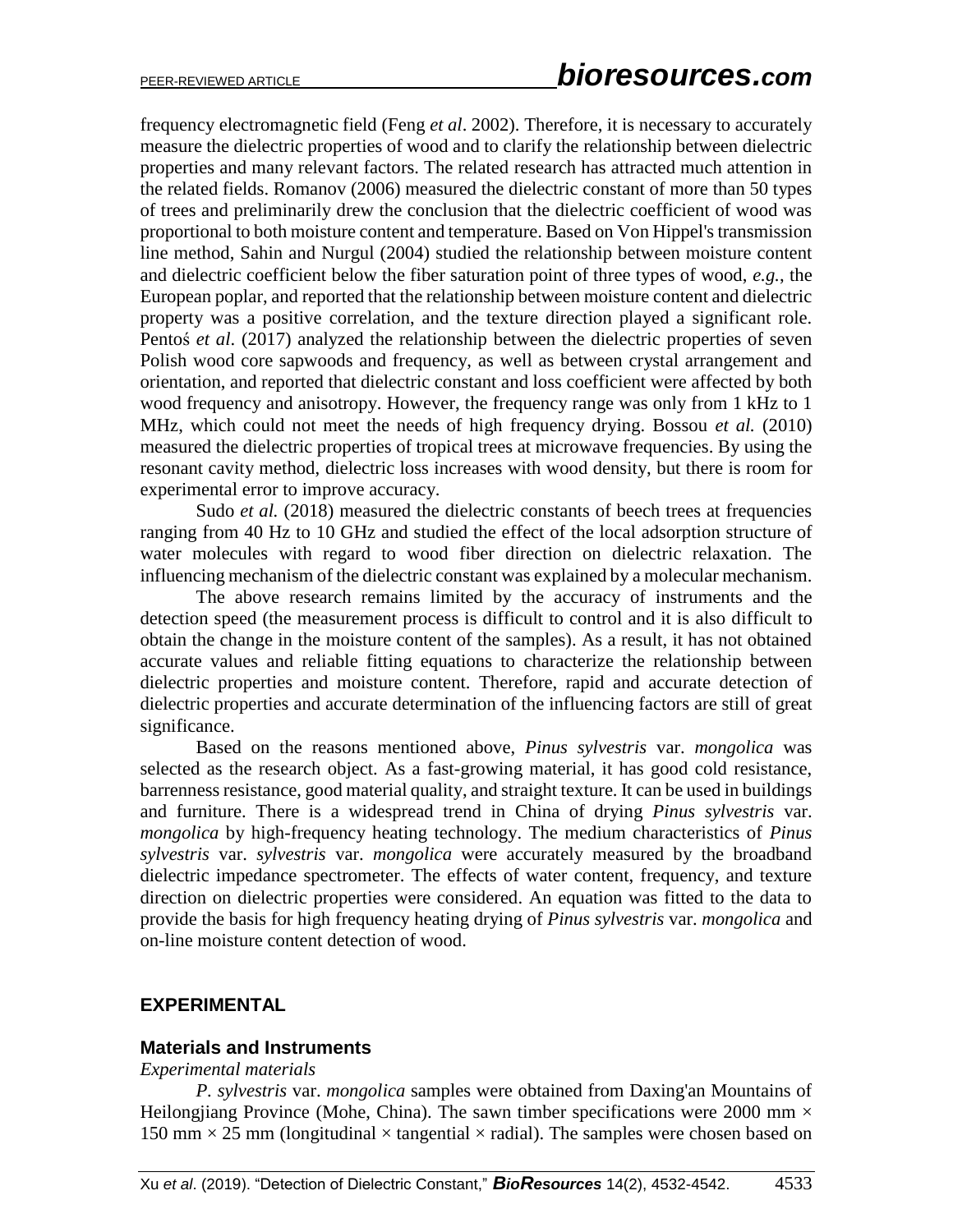frequency electromagnetic field (Feng *et al*. 2002). Therefore, it is necessary to accurately measure the dielectric properties of wood and to clarify the relationship between dielectric properties and many relevant factors. The related research has attracted much attention in the related fields. Romanov (2006) measured the dielectric constant of more than 50 types of trees and preliminarily drew the conclusion that the dielectric coefficient of wood was proportional to both moisture content and temperature. Based on Von Hippel's transmission line method, Sahin and Nurgul (2004) studied the relationship between moisture content and dielectric coefficient below the fiber saturation point of three types of wood, *e.g.*, the European poplar, and reported that the relationship between moisture content and dielectric property was a positive correlation, and the texture direction played a significant role. Pentoś *et al.* (2017) analyzed the relationship between the dielectric properties of seven Polish wood core sapwoods and frequency, as well as between crystal arrangement and orientation, and reported that dielectric constant and loss coefficient were affected by both wood frequency and anisotropy. However, the frequency range was only from 1 kHz to 1 MHz, which could not meet the needs of high frequency drying. Bossou *et al.* (2010) measured the dielectric properties of tropical trees at microwave frequencies. By using the resonant cavity method, dielectric loss increases with wood density, but there is room for experimental error to improve accuracy.

Sudo *et al.* (2018) measured the dielectric constants of beech trees at frequencies ranging from 40 Hz to 10 GHz and studied the effect of the local adsorption structure of water molecules with regard to wood fiber direction on dielectric relaxation. The influencing mechanism of the dielectric constant was explained by a molecular mechanism.

The above research remains limited by the accuracy of instruments and the detection speed (the measurement process is difficult to control and it is also difficult to obtain the change in the moisture content of the samples). As a result, it has not obtained accurate values and reliable fitting equations to characterize the relationship between dielectric properties and moisture content. Therefore, rapid and accurate detection of dielectric properties and accurate determination of the influencing factors are still of great significance.

Based on the reasons mentioned above, *Pinus sylvestris* var. *mongolica* was selected as the research object. As a fast-growing material, it has good cold resistance, barrenness resistance, good material quality, and straight texture. It can be used in buildings and furniture. There is a widespread trend in China of drying *Pinus sylvestris* var. *mongolica* by high-frequency heating technology. The medium characteristics of *Pinus sylvestris* var. *sylvestris* var. *mongolica* were accurately measured by the broadband dielectric impedance spectrometer. The effects of water content, frequency, and texture direction on dielectric properties were considered. An equation was fitted to the data to provide the basis for high frequency heating drying of *Pinus sylvestris* var. *mongolica* and on-line moisture content detection of wood.

### **EXPERIMENTAL**

### **Materials and Instruments**

#### *Experimental materials*

*P. sylvestris* var. *mongolica* samples were obtained from Daxing'an Mountains of Heilongjiang Province (Mohe, China). The sawn timber specifications were 2000 mm  $\times$ 150 mm  $\times$  25 mm (longitudinal  $\times$  tangential  $\times$  radial). The samples were chosen based on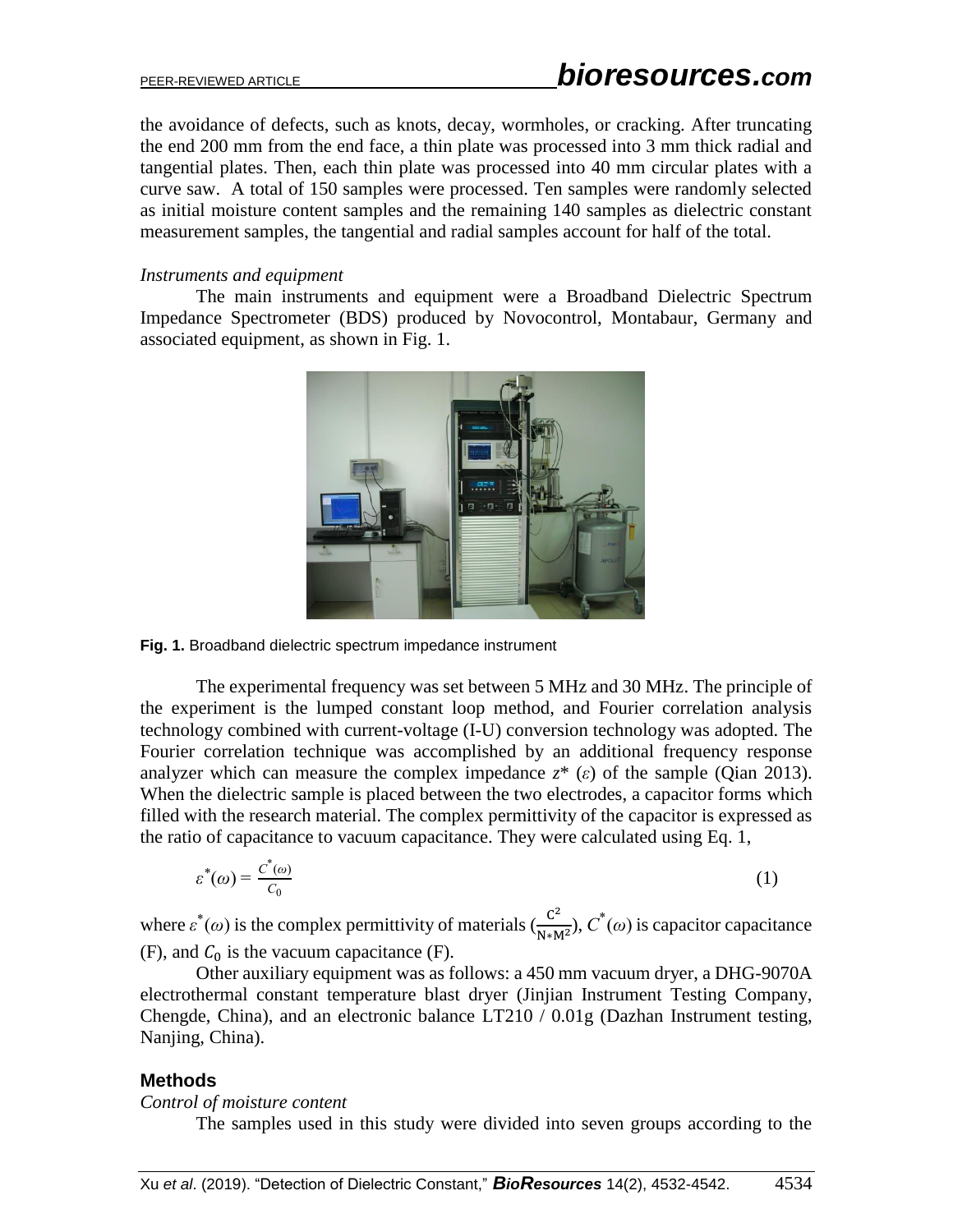the avoidance of defects, such as knots, decay, wormholes, or cracking. After truncating the end 200 mm from the end face, a thin plate was processed into 3 mm thick radial and tangential plates. Then, each thin plate was processed into 40 mm circular plates with a curve saw. A total of 150 samples were processed. Ten samples were randomly selected as initial moisture content samples and the remaining 140 samples as dielectric constant measurement samples, the tangential and radial samples account for half of the total.

### *Instruments and equipment*

The main instruments and equipment were a Broadband Dielectric Spectrum Impedance Spectrometer (BDS) produced by Novocontrol, Montabaur, Germany and associated equipment, as shown in Fig. 1.



**Fig. 1.** Broadband dielectric spectrum impedance instrument

The experimental frequency was set between 5 MHz and 30 MHz. The principle of the experiment is the lumped constant loop method, and Fourier correlation analysis technology combined with current-voltage (I-U) conversion technology was adopted. The Fourier correlation technique was accomplished by an additional frequency response analyzer which can measure the complex impedance  $z^*(\varepsilon)$  of the sample (Qian 2013). When the dielectric sample is placed between the two electrodes, a capacitor forms which filled with the research material. The complex permittivity of the capacitor is expressed as the ratio of capacitance to vacuum capacitance. They were calculated using Eq. 1,

$$
\varepsilon^*(\omega) = \frac{c^*(\omega)}{c_0} \tag{1}
$$

where  $\varepsilon^*(\omega)$  is the complex permittivity of materials  $\left(\frac{C^2}{N}\right)$  $\frac{C^2}{N*M^2}$ ,  $C^*(\omega)$  is capacitor capacitance (F), and  $C_0$  is the vacuum capacitance (F).

Other auxiliary equipment was as follows: a 450 mm vacuum dryer, a DHG-9070A electrothermal constant temperature blast dryer (Jinjian Instrument Testing Company, Chengde, China), and an electronic balance LT210 / 0.01g (Dazhan Instrument testing, Nanjing, China).

### **Methods**

*Control of moisture content* 

The samples used in this study were divided into seven groups according to the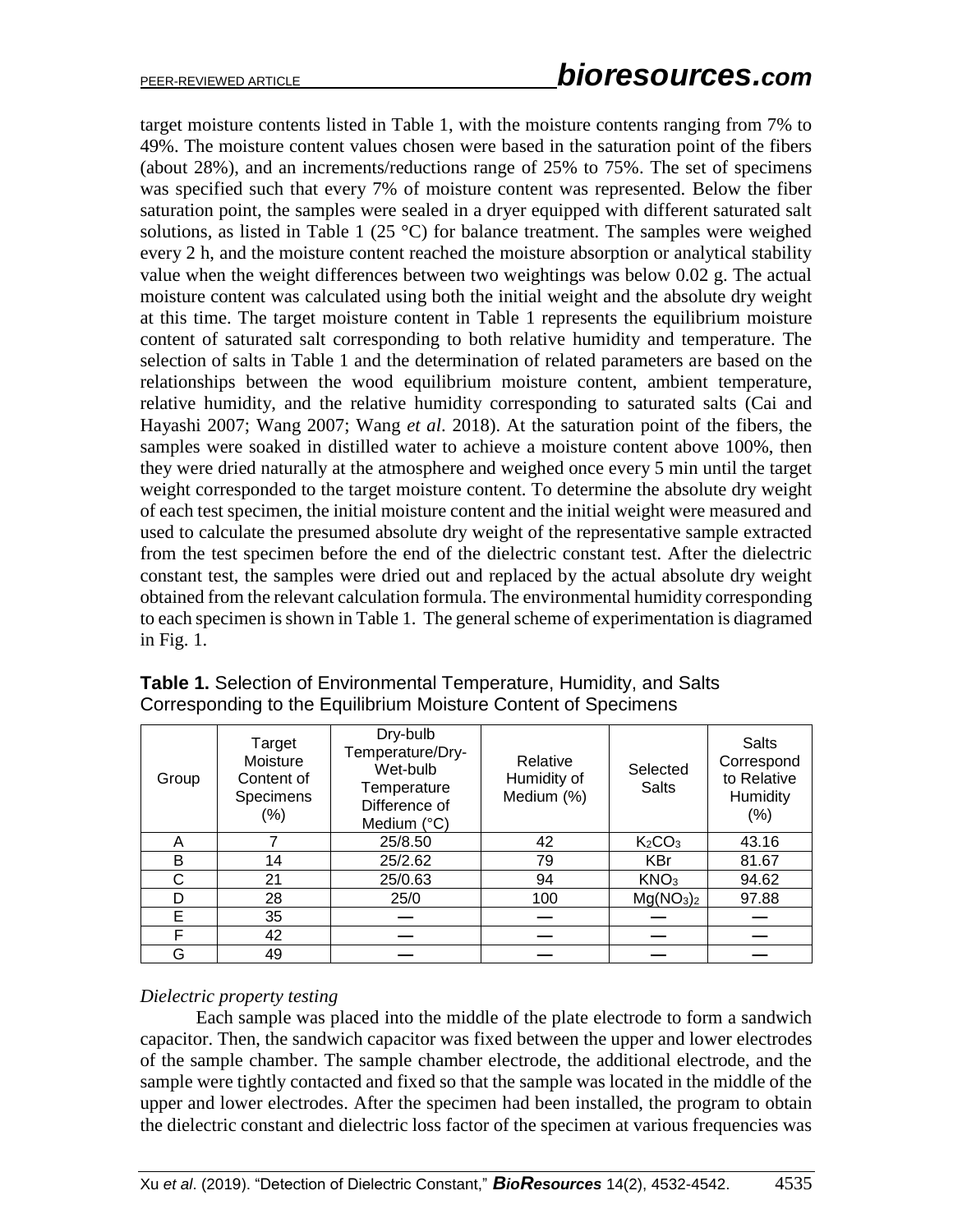target moisture contents listed in Table 1, with the moisture contents ranging from 7% to 49%. The moisture content values chosen were based in the saturation point of the fibers (about 28%), and an increments/reductions range of 25% to 75%. The set of specimens was specified such that every 7% of moisture content was represented. Below the fiber saturation point, the samples were sealed in a dryer equipped with different saturated salt solutions, as listed in Table 1 (25  $\degree$ C) for balance treatment. The samples were weighed every 2 h, and the moisture content reached the moisture absorption or analytical stability value when the weight differences between two weightings was below 0.02 g. The actual moisture content was calculated using both the initial weight and the absolute dry weight at this time. The target moisture content in Table 1 represents the equilibrium moisture content of saturated salt corresponding to both relative humidity and temperature. The selection of salts in Table 1 and the determination of related parameters are based on the relationships between the wood equilibrium moisture content, ambient temperature, relative humidity, and the relative humidity corresponding to saturated salts (Cai and Hayashi 2007; Wang 2007; Wang *et al*. 2018). At the saturation point of the fibers, the samples were soaked in distilled water to achieve a moisture content above 100%, then they were dried naturally at the atmosphere and weighed once every 5 min until the target weight corresponded to the target moisture content. To determine the absolute dry weight of each test specimen, the initial moisture content and the initial weight were measured and used to calculate the presumed absolute dry weight of the representative sample extracted from the test specimen before the end of the dielectric constant test. After the dielectric constant test, the samples were dried out and replaced by the actual absolute dry weight obtained from the relevant calculation formula. The environmental humidity corresponding to each specimen is shown in Table 1. The general scheme of experimentation is diagramed in Fig. 1.

| Group | Target<br>Moisture<br>Content of<br>Specimens<br>$(\%)$ | Dry-bulb<br>Temperature/Dry-<br>Wet-bulb<br>Temperature<br>Difference of<br>Medium (°C) | Relative<br>Humidity of<br>Medium (%) | Selected<br><b>Salts</b>          | <b>Salts</b><br>Correspond<br>to Relative<br>Humidity<br>$(\% )$ |
|-------|---------------------------------------------------------|-----------------------------------------------------------------------------------------|---------------------------------------|-----------------------------------|------------------------------------------------------------------|
| A     |                                                         | 25/8.50                                                                                 | 42                                    | K <sub>2</sub> CO <sub>3</sub>    | 43.16                                                            |
| B     | 14                                                      | 25/2.62                                                                                 | 79                                    | <b>KBr</b>                        | 81.67                                                            |
| C     | 21                                                      | 25/0.63                                                                                 | 94                                    | KNO <sub>3</sub>                  | 94.62                                                            |
| D     | 28                                                      | 25/0                                                                                    | 100                                   | Mg(NO <sub>3</sub> ) <sub>2</sub> | 97.88                                                            |
| Е     | 35                                                      |                                                                                         |                                       |                                   |                                                                  |
| F     | 42                                                      |                                                                                         |                                       |                                   |                                                                  |
| G     | 49                                                      |                                                                                         |                                       |                                   |                                                                  |

**Table 1.** Selection of Environmental Temperature, Humidity, and Salts Corresponding to the Equilibrium Moisture Content of Specimens

### *Dielectric property testing*

Each sample was placed into the middle of the plate electrode to form a sandwich capacitor. Then, the sandwich capacitor was fixed between the upper and lower electrodes of the sample chamber. The sample chamber electrode, the additional electrode, and the sample were tightly contacted and fixed so that the sample was located in the middle of the upper and lower electrodes. After the specimen had been installed, the program to obtain the dielectric constant and dielectric loss factor of the specimen at various frequencies was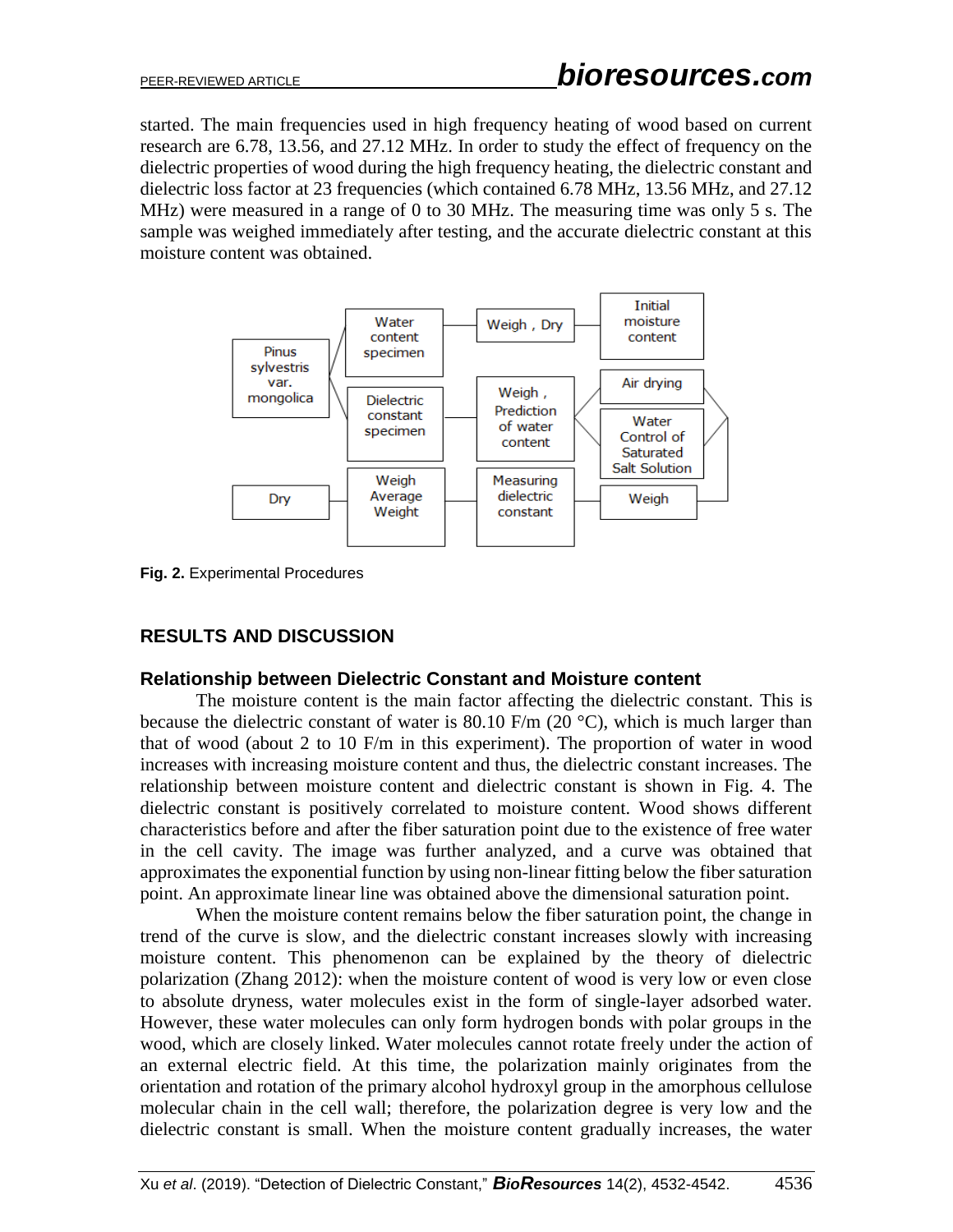started. The main frequencies used in high frequency heating of wood based on current research are 6.78, 13.56, and 27.12 MHz. In order to study the effect of frequency on the dielectric properties of wood during the high frequency heating, the dielectric constant and dielectric loss factor at 23 frequencies (which contained 6.78 MHz, 13.56 MHz, and 27.12 MHz) were measured in a range of 0 to 30 MHz. The measuring time was only 5 s. The sample was weighed immediately after testing, and the accurate dielectric constant at this moisture content was obtained.



**Fig. 2.** Experimental Procedures

# **RESULTS AND DISCUSSION**

### **Relationship between Dielectric Constant and Moisture content**

The moisture content is the main factor affecting the dielectric constant. This is because the dielectric constant of water is 80.10 F/m (20 $\degree$ C), which is much larger than that of wood (about 2 to 10 F/m in this experiment). The proportion of water in wood increases with increasing moisture content and thus, the dielectric constant increases. The relationship between moisture content and dielectric constant is shown in Fig. 4. The dielectric constant is positively correlated to moisture content. Wood shows different characteristics before and after the fiber saturation point due to the existence of free water in the cell cavity. The image was further analyzed, and a curve was obtained that approximates the exponential function by using non-linear fitting below the fiber saturation point. An approximate linear line was obtained above the dimensional saturation point.

When the moisture content remains below the fiber saturation point, the change in trend of the curve is slow, and the dielectric constant increases slowly with increasing moisture content. This phenomenon can be explained by the theory of dielectric polarization (Zhang 2012): when the moisture content of wood is very low or even close to absolute dryness, water molecules exist in the form of single-layer adsorbed water. However, these water molecules can only form hydrogen bonds with polar groups in the wood, which are closely linked. Water molecules cannot rotate freely under the action of an external electric field. At this time, the polarization mainly originates from the orientation and rotation of the primary alcohol hydroxyl group in the amorphous cellulose molecular chain in the cell wall; therefore, the polarization degree is very low and the dielectric constant is small. When the moisture content gradually increases, the water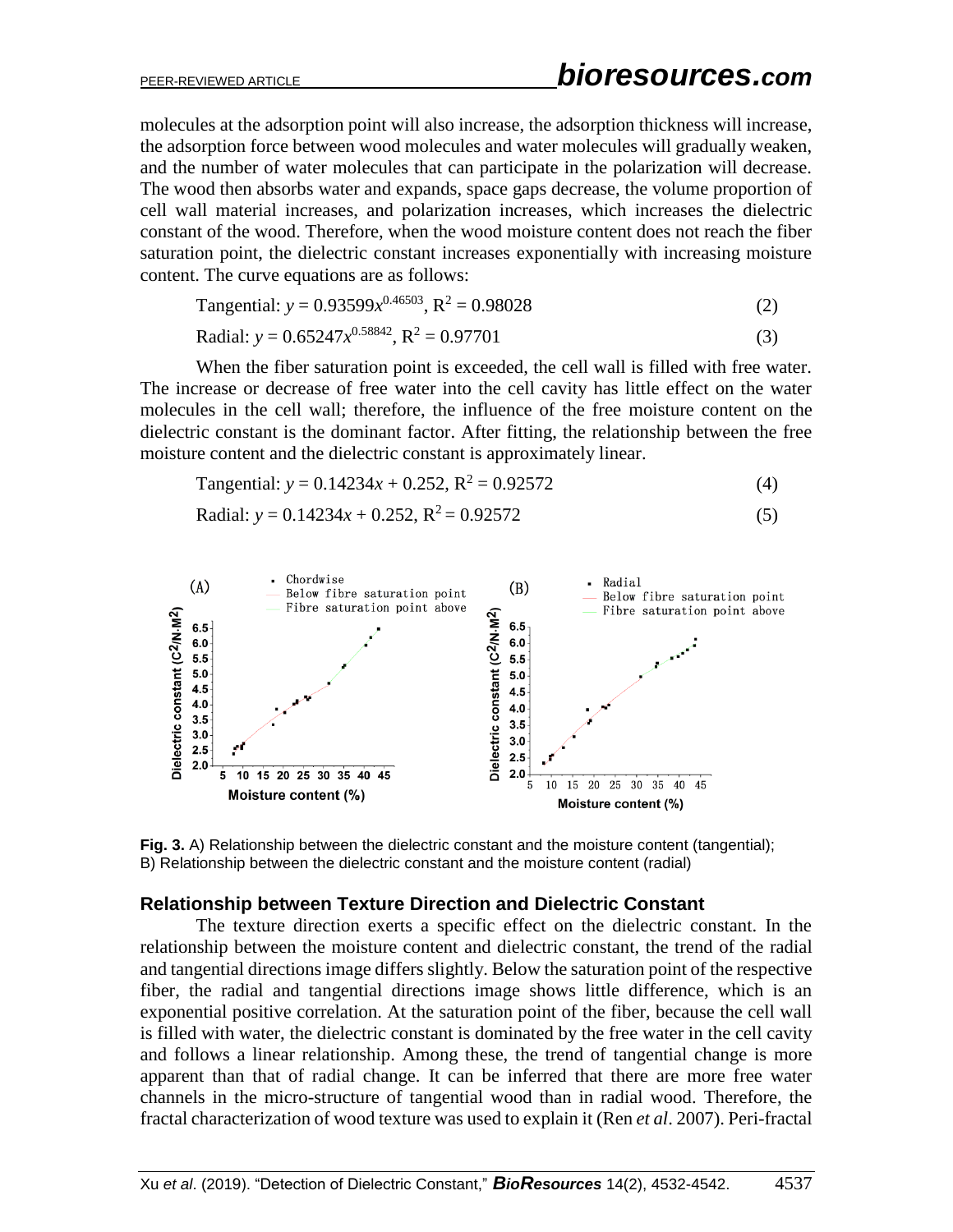molecules at the adsorption point will also increase, the adsorption thickness will increase, the adsorption force between wood molecules and water molecules will gradually weaken, and the number of water molecules that can participate in the polarization will decrease. The wood then absorbs water and expands, space gaps decrease, the volume proportion of cell wall material increases, and polarization increases, which increases the dielectric constant of the wood. Therefore, when the wood moisture content does not reach the fiber saturation point, the dielectric constant increases exponentially with increasing moisture content. The curve equations are as follows:

Tangential: 
$$
y = 0.93599x^{0.46503}
$$
,  $R^2 = 0.98028$  (2)

$$
Radial: y = 0.65247x^{0.58842}, R^2 = 0.97701
$$
\n(3)

When the fiber saturation point is exceeded, the cell wall is filled with free water. The increase or decrease of free water into the cell cavity has little effect on the water molecules in the cell wall; therefore, the influence of the free moisture content on the dielectric constant is the dominant factor. After fitting, the relationship between the free moisture content and the dielectric constant is approximately linear.

Tangential: 
$$
y = 0.14234x + 0.252
$$
,  $R^2 = 0.92572$  (4)

$$
Radial: y = 0.14234x + 0.252, R2 = 0.92572
$$
\n(5)



**Fig. 3.** A) Relationship between the dielectric constant and the moisture content (tangential); B) Relationship between the dielectric constant and the moisture content (radial)

#### **Relationship between Texture Direction and Dielectric Constant**

The texture direction exerts a specific effect on the dielectric constant. In the relationship between the moisture content and dielectric constant, the trend of the radial and tangential directions image differs slightly. Below the saturation point of the respective fiber, the radial and tangential directions image shows little difference, which is an exponential positive correlation. At the saturation point of the fiber, because the cell wall is filled with water, the dielectric constant is dominated by the free water in the cell cavity and follows a linear relationship. Among these, the trend of tangential change is more apparent than that of radial change. It can be inferred that there are more free water channels in the micro-structure of tangential wood than in radial wood. Therefore, the fractal characterization of wood texture was used to explain it (Ren *et al*. 2007). Peri-fractal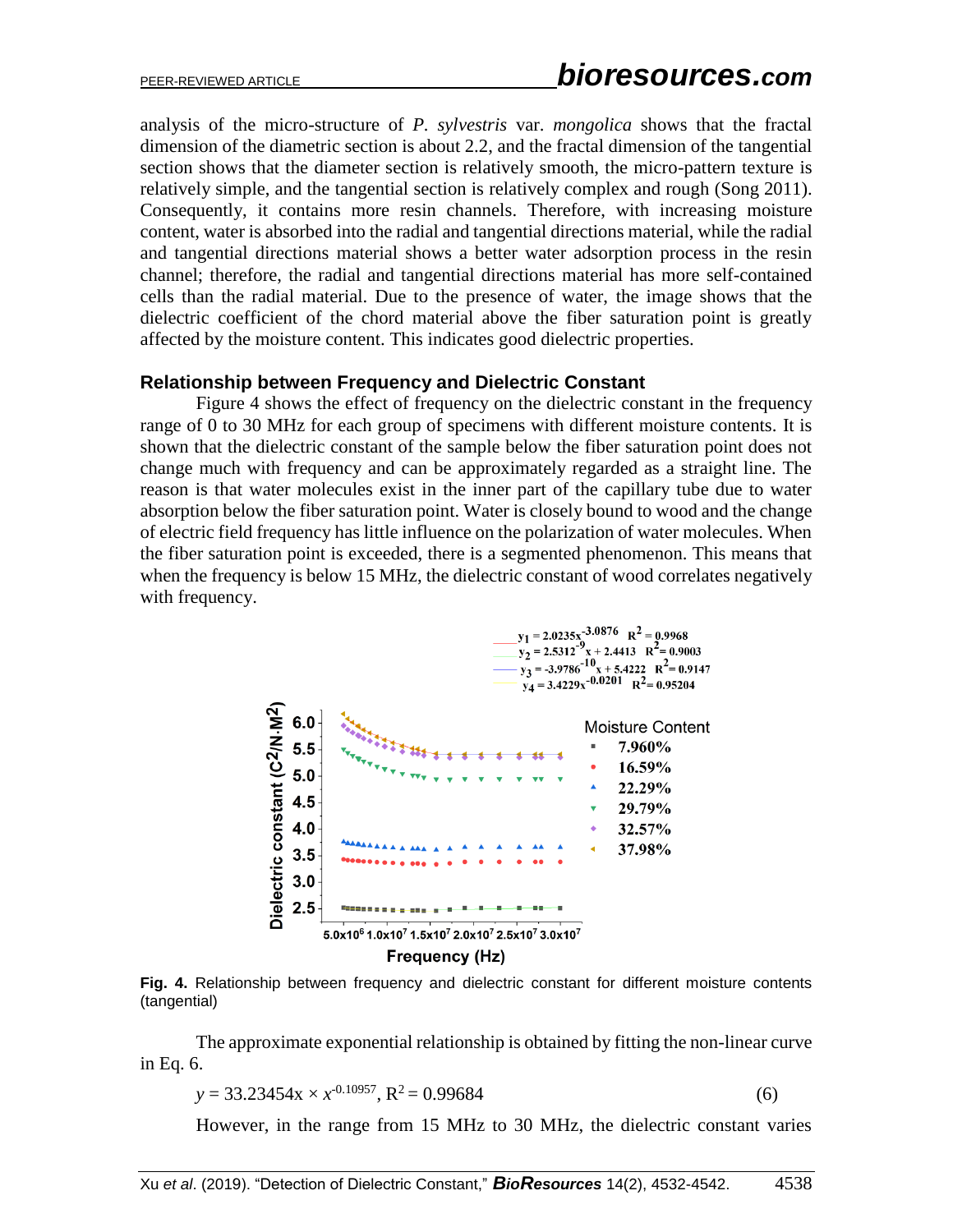analysis of the micro-structure of *P. sylvestris* var. *mongolica* shows that the fractal dimension of the diametric section is about 2.2, and the fractal dimension of the tangential section shows that the diameter section is relatively smooth, the micro-pattern texture is relatively simple, and the tangential section is relatively complex and rough (Song 2011). Consequently, it contains more resin channels. Therefore, with increasing moisture content, water is absorbed into the radial and tangential directions material, while the radial and tangential directions material shows a better water adsorption process in the resin channel; therefore, the radial and tangential directions material has more self-contained cells than the radial material. Due to the presence of water, the image shows that the dielectric coefficient of the chord material above the fiber saturation point is greatly affected by the moisture content. This indicates good dielectric properties.

### **Relationship between Frequency and Dielectric Constant**

Figure 4 shows the effect of frequency on the dielectric constant in the frequency range of 0 to 30 MHz for each group of specimens with different moisture contents. It is shown that the dielectric constant of the sample below the fiber saturation point does not change much with frequency and can be approximately regarded as a straight line. The reason is that water molecules exist in the inner part of the capillary tube due to water absorption below the fiber saturation point. Water is closely bound to wood and the change of electric field frequency has little influence on the polarization of water molecules. When the fiber saturation point is exceeded, there is a segmented phenomenon. This means that when the frequency is below 15 MHz, the dielectric constant of wood correlates negatively with frequency.



**Fig. 4.** Relationship between frequency and dielectric constant for different moisture contents (tangential)

The approximate exponential relationship is obtained by fitting the non-linear curve in Eq. 6.

$$
y = 33.23454x \times x^{0.10957}, R^2 = 0.99684
$$
 (6)

However, in the range from 15 MHz to 30 MHz, the dielectric constant varies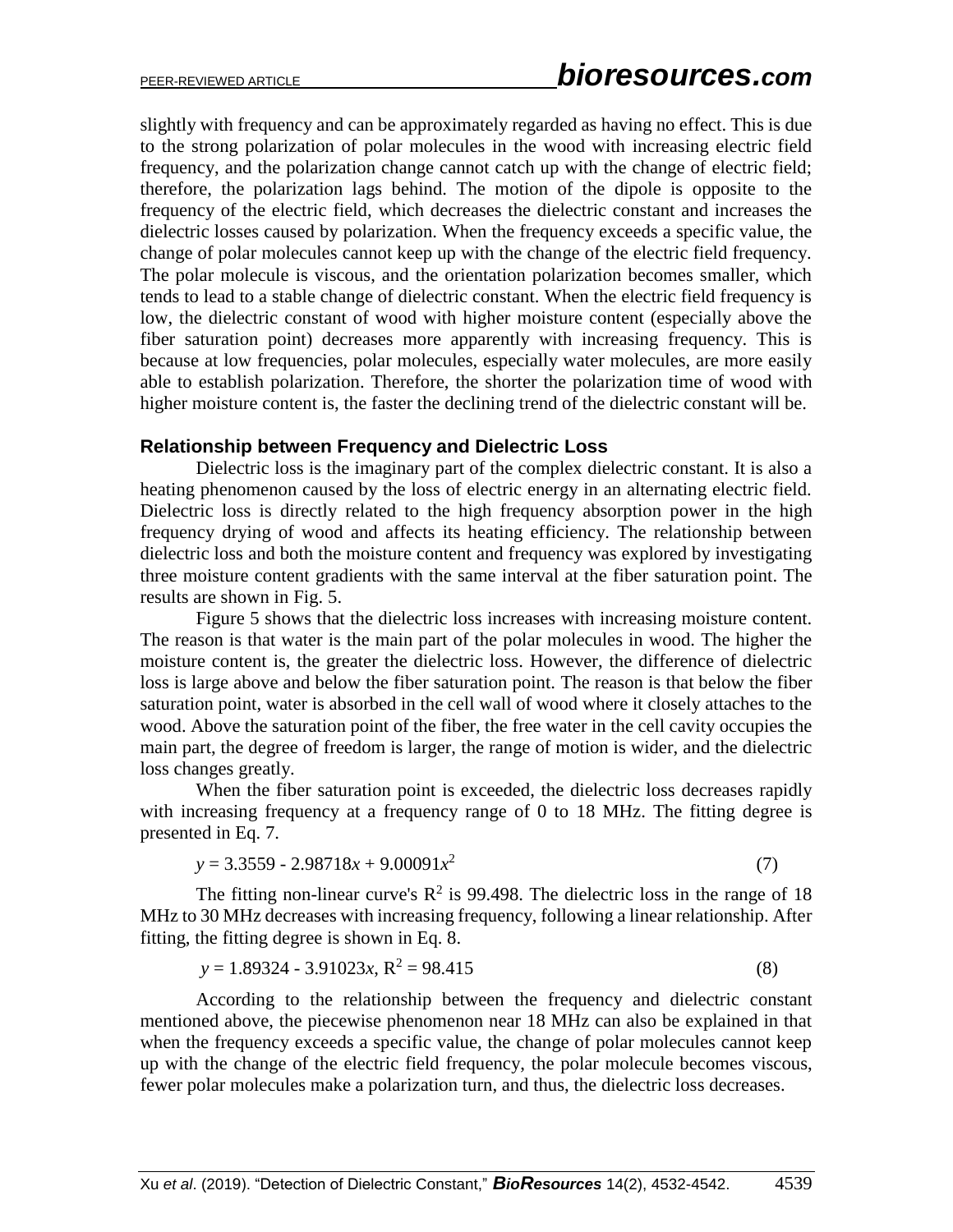slightly with frequency and can be approximately regarded as having no effect. This is due to the strong polarization of polar molecules in the wood with increasing electric field frequency, and the polarization change cannot catch up with the change of electric field; therefore, the polarization lags behind. The motion of the dipole is opposite to the frequency of the electric field, which decreases the dielectric constant and increases the dielectric losses caused by polarization. When the frequency exceeds a specific value, the change of polar molecules cannot keep up with the change of the electric field frequency. The polar molecule is viscous, and the orientation polarization becomes smaller, which tends to lead to a stable change of dielectric constant. When the electric field frequency is low, the dielectric constant of wood with higher moisture content (especially above the fiber saturation point) decreases more apparently with increasing frequency. This is because at low frequencies, polar molecules, especially water molecules, are more easily able to establish polarization. Therefore, the shorter the polarization time of wood with higher moisture content is, the faster the declining trend of the dielectric constant will be.

### **Relationship between Frequency and Dielectric Loss**

Dielectric loss is the imaginary part of the complex dielectric constant. It is also a heating phenomenon caused by the loss of electric energy in an alternating electric field. Dielectric loss is directly related to the high frequency absorption power in the high frequency drying of wood and affects its heating efficiency. The relationship between dielectric loss and both the moisture content and frequency was explored by investigating three moisture content gradients with the same interval at the fiber saturation point. The results are shown in Fig. 5.

Figure 5 shows that the dielectric loss increases with increasing moisture content. The reason is that water is the main part of the polar molecules in wood. The higher the moisture content is, the greater the dielectric loss. However, the difference of dielectric loss is large above and below the fiber saturation point. The reason is that below the fiber saturation point, water is absorbed in the cell wall of wood where it closely attaches to the wood. Above the saturation point of the fiber, the free water in the cell cavity occupies the main part, the degree of freedom is larger, the range of motion is wider, and the dielectric loss changes greatly.

When the fiber saturation point is exceeded, the dielectric loss decreases rapidly with increasing frequency at a frequency range of 0 to 18 MHz. The fitting degree is presented in Eq. 7.

$$
y = 3.3559 - 2.98718x + 9.00091x^2 \tag{7}
$$

The fitting non-linear curve's  $\mathbb{R}^2$  is 99.498. The dielectric loss in the range of 18 MHz to 30 MHz decreases with increasing frequency, following a linear relationship. After fitting, the fitting degree is shown in Eq. 8.

$$
y = 1.89324 - 3.91023x, R^2 = 98.415
$$
 (8)

According to the relationship between the frequency and dielectric constant mentioned above, the piecewise phenomenon near 18 MHz can also be explained in that when the frequency exceeds a specific value, the change of polar molecules cannot keep up with the change of the electric field frequency, the polar molecule becomes viscous, fewer polar molecules make a polarization turn, and thus, the dielectric loss decreases.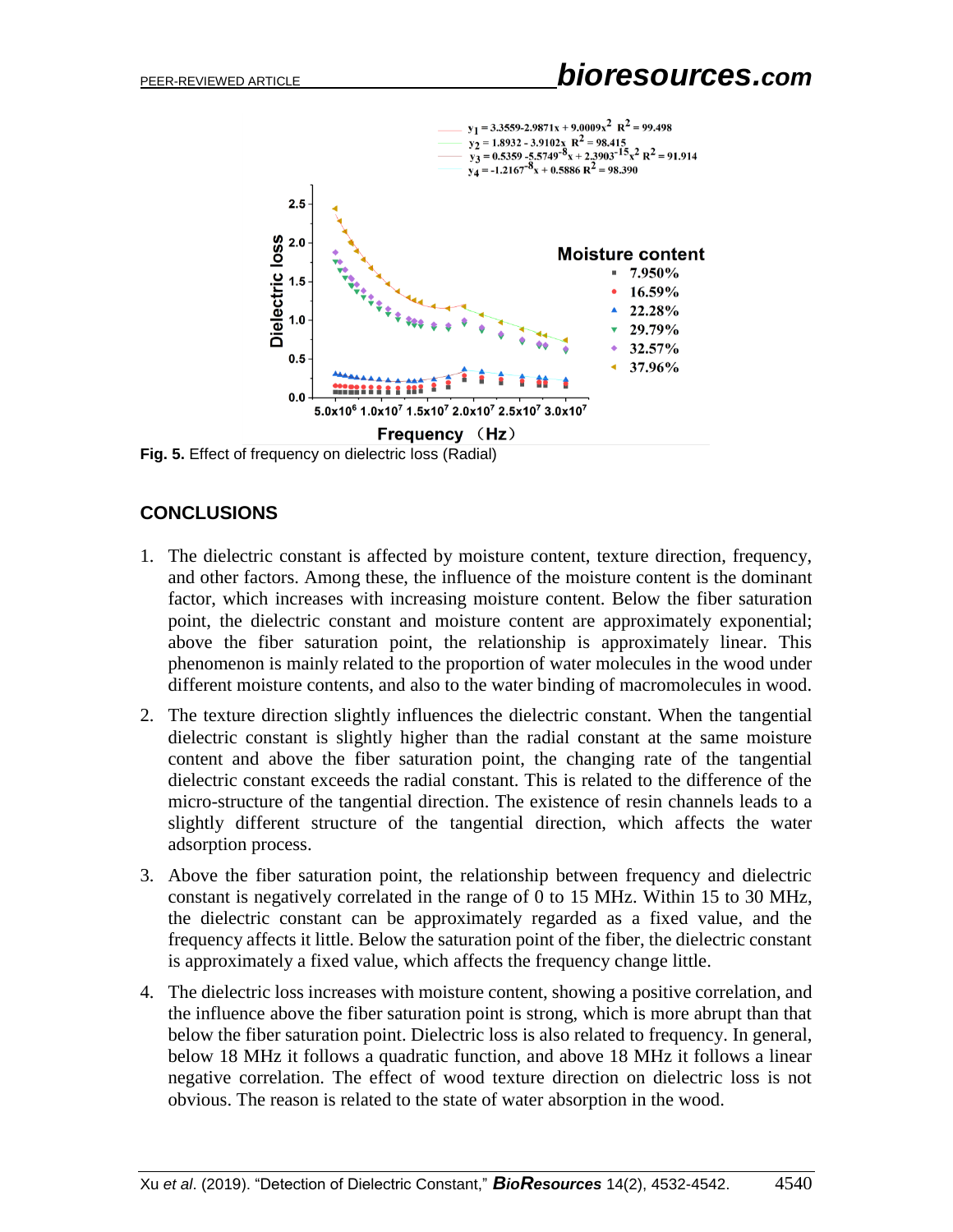

**Fig. 5.** Effect of frequency on dielectric loss (Radial)

# **CONCLUSIONS**

- 1. The dielectric constant is affected by moisture content, texture direction, frequency, and other factors. Among these, the influence of the moisture content is the dominant factor, which increases with increasing moisture content. Below the fiber saturation point, the dielectric constant and moisture content are approximately exponential; above the fiber saturation point, the relationship is approximately linear. This phenomenon is mainly related to the proportion of water molecules in the wood under different moisture contents, and also to the water binding of macromolecules in wood.
- 2. The texture direction slightly influences the dielectric constant. When the tangential dielectric constant is slightly higher than the radial constant at the same moisture content and above the fiber saturation point, the changing rate of the tangential dielectric constant exceeds the radial constant. This is related to the difference of the micro-structure of the tangential direction. The existence of resin channels leads to a slightly different structure of the tangential direction, which affects the water adsorption process.
- 3. Above the fiber saturation point, the relationship between frequency and dielectric constant is negatively correlated in the range of 0 to 15 MHz. Within 15 to 30 MHz, the dielectric constant can be approximately regarded as a fixed value, and the frequency affects it little. Below the saturation point of the fiber, the dielectric constant is approximately a fixed value, which affects the frequency change little.
- 4. The dielectric loss increases with moisture content, showing a positive correlation, and the influence above the fiber saturation point is strong, which is more abrupt than that below the fiber saturation point. Dielectric loss is also related to frequency. In general, below 18 MHz it follows a quadratic function, and above 18 MHz it follows a linear negative correlation. The effect of wood texture direction on dielectric loss is not obvious. The reason is related to the state of water absorption in the wood.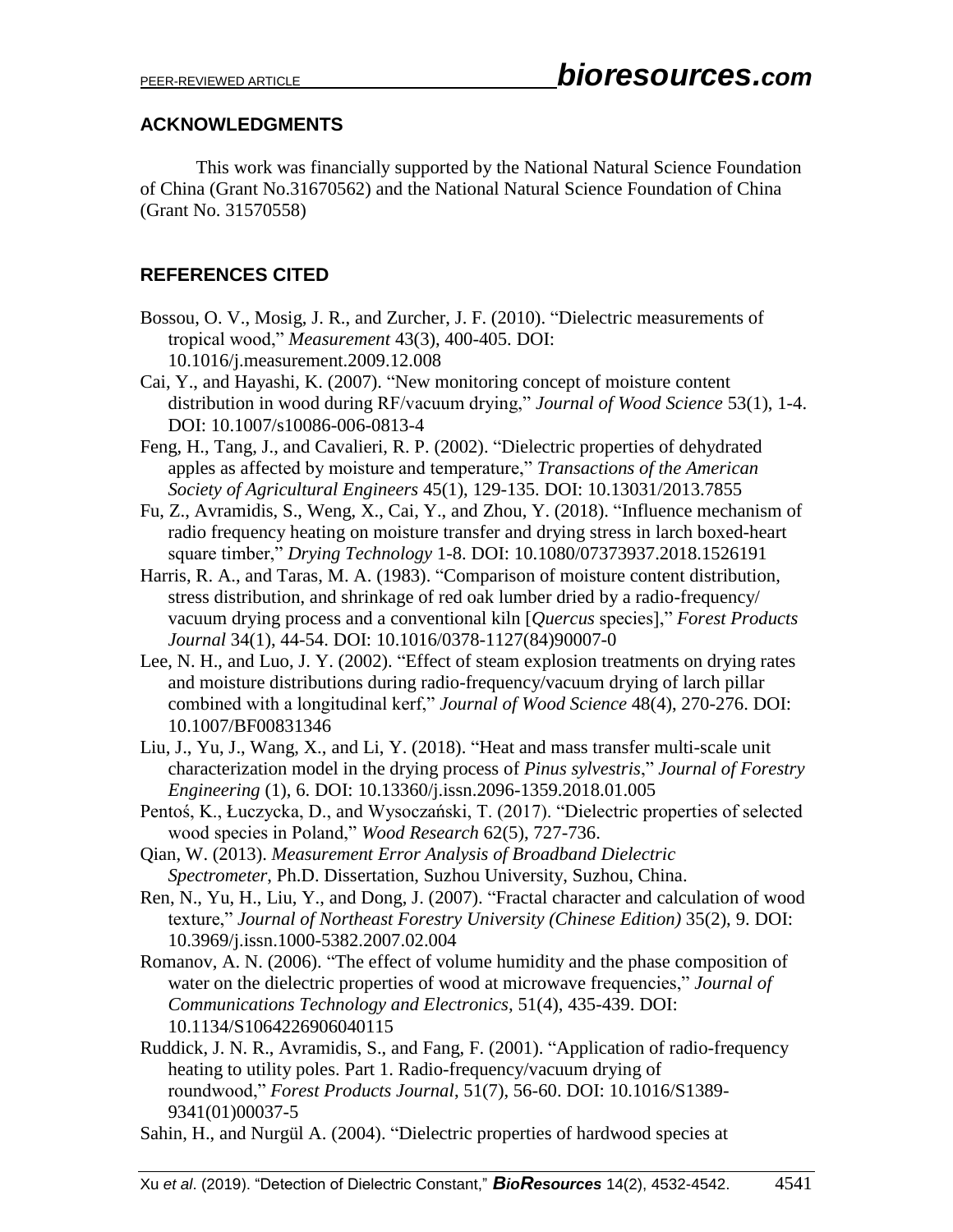### **ACKNOWLEDGMENTS**

This work was financially supported by the National Natural Science Foundation of China (Grant No.31670562) and the National Natural Science Foundation of China (Grant No. 31570558)

# **REFERENCES CITED**

- Bossou, O. V., Mosig, J. R., and Zurcher, J. F. (2010). "Dielectric measurements of tropical wood," *Measurement* 43(3), 400-405. DOI: 10.1016/j.measurement.2009.12.008
- Cai, Y., and Hayashi, K. (2007). "New monitoring concept of moisture content distribution in wood during RF/vacuum drying," *Journal of Wood Science* 53(1), 1-4. DOI: 10.1007/s10086-006-0813-4
- Feng, H., Tang, J., and Cavalieri, R. P. (2002). "Dielectric properties of dehydrated apples as affected by moisture and temperature," *Transactions of the American Society of Agricultural Engineers* 45(1), 129-135. DOI: 10.13031/2013.7855
- Fu, Z., Avramidis, S., Weng, X., Cai, Y., and Zhou, Y. (2018). "Influence mechanism of radio frequency heating on moisture transfer and drying stress in larch boxed-heart square timber," *Drying Technology* 1-8. DOI: 10.1080/07373937.2018.1526191
- Harris, R. A., and Taras, M. A. (1983). "Comparison of moisture content distribution, stress distribution, and shrinkage of red oak lumber dried by a radio-frequency/ vacuum drying process and a conventional kiln [*Quercus* species]," *Forest Products Journal* 34(1), 44-54. DOI: 10.1016/0378-1127(84)90007-0
- Lee, N. H., and Luo, J. Y. (2002). "Effect of steam explosion treatments on drying rates and moisture distributions during radio-frequency/vacuum drying of larch pillar combined with a longitudinal kerf," *Journal of Wood Science* 48(4), 270-276. DOI: 10.1007/BF00831346
- Liu, J., Yu, J., Wang, X., and Li, Y. (2018). "Heat and mass transfer multi-scale unit characterization model in the drying process of *Pinus sylvestris*," *Journal of Forestry Engineering* (1), 6. DOI: 10.13360/j.issn.2096-1359.2018.01.005
- Pentoś, K., Łuczycka, D., and Wysoczański, T. (2017). "Dielectric properties of selected wood species in Poland," *Wood Research* 62(5), 727-736.
- Qian, W. (2013). *Measurement Error Analysis of Broadband Dielectric Spectrometer*, Ph.D. Dissertation, Suzhou University, Suzhou, China.
- Ren, N., Yu, H., Liu, Y., and Dong, J. (2007). "Fractal character and calculation of wood texture," *Journal of Northeast Forestry University (Chinese Edition)* 35(2), 9. DOI: 10.3969/j.issn.1000-5382.2007.02.004
- Romanov, A. N. (2006). "The effect of volume humidity and the phase composition of water on the dielectric properties of wood at microwave frequencies," *Journal of Communications Technology and Electronics,* 51(4), 435-439. DOI: 10.1134/S1064226906040115
- Ruddick, J. N. R., Avramidis, S., and Fang, F. (2001). "Application of radio-frequency heating to utility poles. Part 1. Radio-frequency/vacuum drying of roundwood," *Forest Products Journal*, 51(7), 56-60. DOI: 10.1016/S1389- 9341(01)00037-5
- Sahin, H., and Nurgül A. (2004). "Dielectric properties of hardwood species at